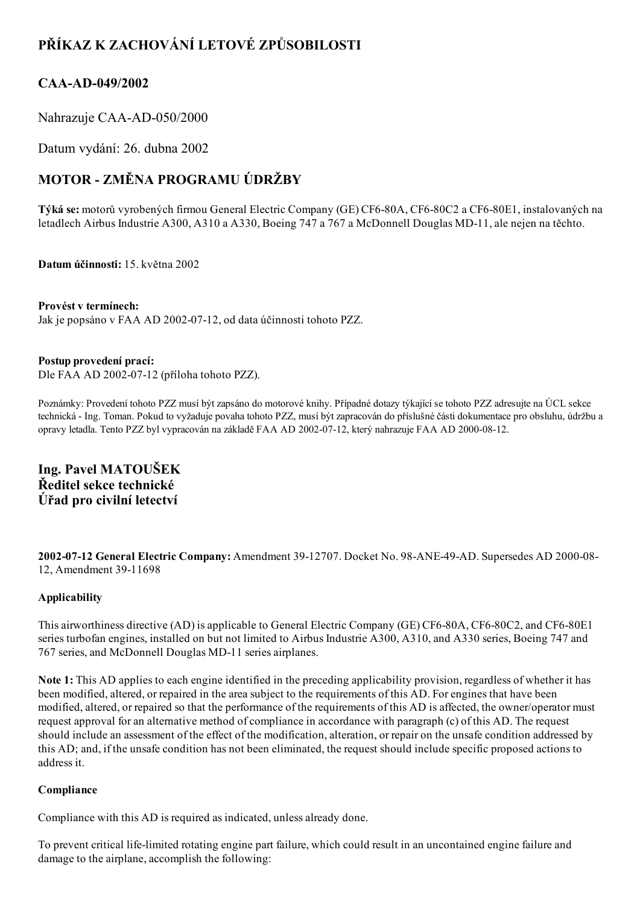## PŘÍKAZ K ZACHOVÁNÍ LETOVÉ ZPŮSOBILOSTI

## CAA-AD-049/2002

Nahrazuje CAA-AD-050/2000

Datum vydání: 26. dubna 2002

# MOTOR ZMĚNA PROGRAMU ÚDRŽBY

Týká se: motorů vyrobených firmou General Electric Company (GE) CF6-80A, CF6-80C2 a CF6-80E1, instalovaných na letadlech Airbus Industrie A300, A310 a A330, Boeing 747 a 767 a McDonnell Douglas MD-11, ale nejen na těchto.

Datum účinnosti: 15. května 2002

#### Provést v termínech:

Jak je popsáno v FAA AD 2002-07-12, od data účinnosti tohoto PZZ.

#### Postup provedení prací:

Dle FAA AD 2002-07-12 (příloha tohoto PZZ).

Poznámky: Provedení tohoto PZZ musí být zapsáno do motorové knihy. Případné dotazy týkající se tohoto PZZ adresujte na ÚCL sekce technická Ing. Toman. Pokud to vyžaduje povaha tohoto PZZ, musí být zapracován do příslušné části dokumentace pro obsluhu, údržbu a opravy letadla. Tento PZZ byl vypracován na základě FAA AD 2002-07-12, který nahrazuje FAA AD 2000-08-12.

## Ing. Pavel MATOUŠEK Ředitel sekce technické Úřad pro civilní letectví

2002-07-12 General Electric Company: Amendment 39-12707. Docket No. 98-ANE-49-AD. Supersedes AD 2000-08-12, Amendment 3911698

#### Applicability

This airworthiness directive (AD) is applicable to General Electric Company (GE) CF6-80A, CF6-80C2, and CF6-80E1 series turbofan engines, installed on but not limited to Airbus Industrie A300, A310, and A330 series, Boeing 747 and 767 series, and McDonnell Douglas MD11 series airplanes.

Note 1: This AD applies to each engine identified in the preceding applicability provision, regardless of whether it has been modified, altered, or repaired in the area subject to the requirements of this AD. For engines that have been modified, altered, or repaired so that the performance of the requirements of this AD is affected, the owner/operator must request approval for an alternative method of compliance in accordance with paragraph (c) of this AD. The request should include an assessment of the effect of the modification, alteration, or repair on the unsafe condition addressed by this AD; and, if the unsafe condition has not been eliminated, the request should include specific proposed actions to address it.

#### Compliance

Compliance with this AD is required as indicated, unless already done.

To prevent critical lifelimited rotating engine part failure, which could result in an uncontained engine failure and damage to the airplane, accomplish the following: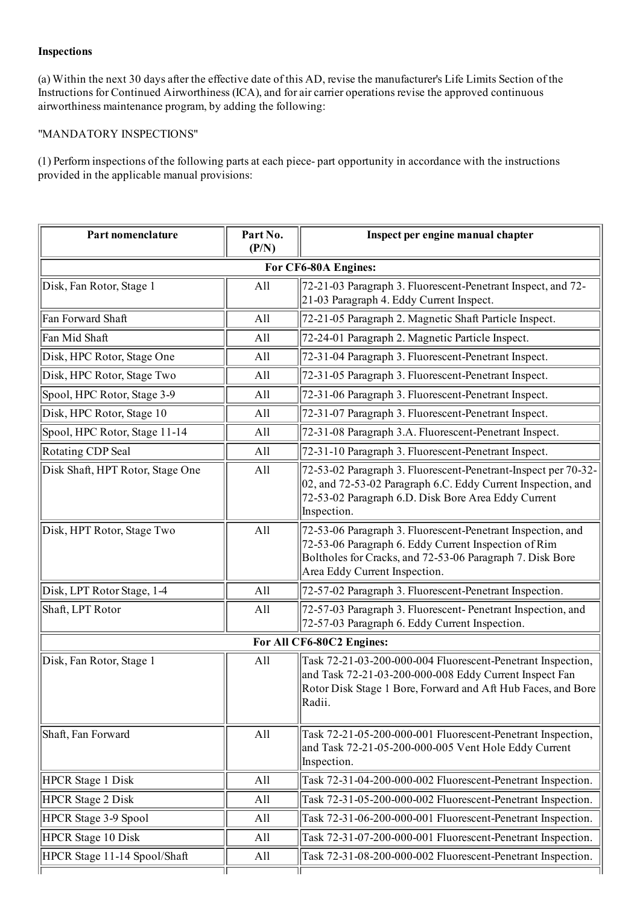#### Inspections

(a) Within the next 30 days after the effective date of this AD, revise the manufacturer's Life Limits Section of the Instructions for Continued Airworthiness (ICA), and for air carrier operations revise the approved continuous airworthiness maintenance program, by adding the following:

#### "MANDATORY INSPECTIONS"

(1) Perform inspections of the following parts at each piece part opportunity in accordance with the instructions provided in the applicable manual provisions:

| Part nomenclature                | Part No.<br>(P/N) | Inspect per engine manual chapter                                                                                                                                                                                 |  |  |
|----------------------------------|-------------------|-------------------------------------------------------------------------------------------------------------------------------------------------------------------------------------------------------------------|--|--|
| For CF6-80A Engines:             |                   |                                                                                                                                                                                                                   |  |  |
| Disk, Fan Rotor, Stage 1         | All               | 72-21-03 Paragraph 3. Fluorescent-Penetrant Inspect, and 72-<br>21-03 Paragraph 4. Eddy Current Inspect.                                                                                                          |  |  |
| Fan Forward Shaft                | All               | 72-21-05 Paragraph 2. Magnetic Shaft Particle Inspect.                                                                                                                                                            |  |  |
| Fan Mid Shaft                    | All               | 72-24-01 Paragraph 2. Magnetic Particle Inspect.                                                                                                                                                                  |  |  |
| Disk, HPC Rotor, Stage One       | All               | 72-31-04 Paragraph 3. Fluorescent-Penetrant Inspect.                                                                                                                                                              |  |  |
| Disk, HPC Rotor, Stage Two       | All               | 72-31-05 Paragraph 3. Fluorescent-Penetrant Inspect.                                                                                                                                                              |  |  |
| Spool, HPC Rotor, Stage 3-9      | All               | 72-31-06 Paragraph 3. Fluorescent-Penetrant Inspect.                                                                                                                                                              |  |  |
| Disk, HPC Rotor, Stage 10        | All               | 72-31-07 Paragraph 3. Fluorescent-Penetrant Inspect.                                                                                                                                                              |  |  |
| Spool, HPC Rotor, Stage 11-14    | All               | 72-31-08 Paragraph 3.A. Fluorescent-Penetrant Inspect.                                                                                                                                                            |  |  |
| Rotating CDP Seal                | All               | 72-31-10 Paragraph 3. Fluorescent-Penetrant Inspect.                                                                                                                                                              |  |  |
| Disk Shaft, HPT Rotor, Stage One | All               | 72-53-02 Paragraph 3. Fluorescent-Penetrant-Inspect per 70-32-<br>02, and 72-53-02 Paragraph 6.C. Eddy Current Inspection, and<br>72-53-02 Paragraph 6.D. Disk Bore Area Eddy Current<br>Inspection.              |  |  |
| Disk, HPT Rotor, Stage Two       | All               | 72-53-06 Paragraph 3. Fluorescent-Penetrant Inspection, and<br>72-53-06 Paragraph 6. Eddy Current Inspection of Rim<br>Boltholes for Cracks, and 72-53-06 Paragraph 7. Disk Bore<br>Area Eddy Current Inspection. |  |  |
| Disk, LPT Rotor Stage, 1-4       | All               | 72-57-02 Paragraph 3. Fluorescent-Penetrant Inspection.                                                                                                                                                           |  |  |
| Shaft, LPT Rotor                 | All               | 72-57-03 Paragraph 3. Fluorescent-Penetrant Inspection, and<br>72-57-03 Paragraph 6. Eddy Current Inspection.                                                                                                     |  |  |
| For All CF6-80C2 Engines:        |                   |                                                                                                                                                                                                                   |  |  |
| Disk, Fan Rotor, Stage 1         | All               | Task 72-21-03-200-000-004 Fluorescent-Penetrant Inspection,<br>and Task 72-21-03-200-000-008 Eddy Current Inspect Fan<br>Rotor Disk Stage 1 Bore, Forward and Aft Hub Faces, and Bore<br>Radii.                   |  |  |
| Shaft, Fan Forward               | All               | Task 72-21-05-200-000-001 Fluorescent-Penetrant Inspection,<br>and Task 72-21-05-200-000-005 Vent Hole Eddy Current<br>Inspection.                                                                                |  |  |
| <b>HPCR</b> Stage 1 Disk         | All               | Task 72-31-04-200-000-002 Fluorescent-Penetrant Inspection.                                                                                                                                                       |  |  |
| <b>HPCR</b> Stage 2 Disk         | All               | Task 72-31-05-200-000-002 Fluorescent-Penetrant Inspection.                                                                                                                                                       |  |  |
| HPCR Stage 3-9 Spool             | All               | Task 72-31-06-200-000-001 Fluorescent-Penetrant Inspection.                                                                                                                                                       |  |  |
| HPCR Stage 10 Disk               | All               | Task 72-31-07-200-000-001 Fluorescent-Penetrant Inspection.                                                                                                                                                       |  |  |
| HPCR Stage 11-14 Spool/Shaft     | All               | Task 72-31-08-200-000-002 Fluorescent-Penetrant Inspection.                                                                                                                                                       |  |  |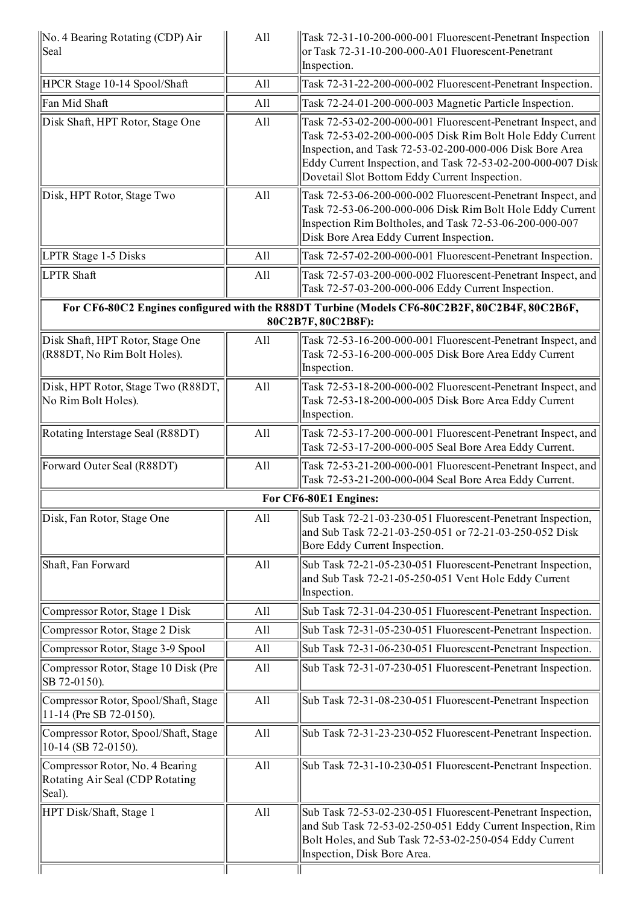| No. 4 Bearing Rotating (CDP) Air<br>Seal                                     | All | Task 72-31-10-200-000-001 Fluorescent-Penetrant Inspection<br>or Task 72-31-10-200-000-A01 Fluorescent-Penetrant<br>Inspection.                                                                                                                                                                       |
|------------------------------------------------------------------------------|-----|-------------------------------------------------------------------------------------------------------------------------------------------------------------------------------------------------------------------------------------------------------------------------------------------------------|
| HPCR Stage 10-14 Spool/Shaft                                                 | All | Task 72-31-22-200-000-002 Fluorescent-Penetrant Inspection.                                                                                                                                                                                                                                           |
| Fan Mid Shaft                                                                | All | Task 72-24-01-200-000-003 Magnetic Particle Inspection.                                                                                                                                                                                                                                               |
| Disk Shaft, HPT Rotor, Stage One                                             | All | Task 72-53-02-200-000-001 Fluorescent-Penetrant Inspect, and<br>Task 72-53-02-200-000-005 Disk Rim Bolt Hole Eddy Current<br>Inspection, and Task 72-53-02-200-000-006 Disk Bore Area<br>Eddy Current Inspection, and Task 72-53-02-200-000-007 Disk<br>Dovetail Slot Bottom Eddy Current Inspection. |
| Disk, HPT Rotor, Stage Two                                                   | All | Task 72-53-06-200-000-002 Fluorescent-Penetrant Inspect, and<br>Task 72-53-06-200-000-006 Disk Rim Bolt Hole Eddy Current<br>Inspection Rim Boltholes, and Task 72-53-06-200-000-007<br>Disk Bore Area Eddy Current Inspection.                                                                       |
| LPTR Stage 1-5 Disks                                                         | All | Task 72-57-02-200-000-001 Fluorescent-Penetrant Inspection.                                                                                                                                                                                                                                           |
| <b>LPTR Shaft</b>                                                            | All | Task 72-57-03-200-000-002 Fluorescent-Penetrant Inspect, and<br>Task 72-57-03-200-000-006 Eddy Current Inspection.                                                                                                                                                                                    |
|                                                                              |     | For CF6-80C2 Engines configured with the R88DT Turbine (Models CF6-80C2B2F, 80C2B4F, 80C2B6F,<br>80C2B7F, 80C2B8F):                                                                                                                                                                                   |
| Disk Shaft, HPT Rotor, Stage One<br>(R88DT, No Rim Bolt Holes).              | All | Task 72-53-16-200-000-001 Fluorescent-Penetrant Inspect, and<br>Task 72-53-16-200-000-005 Disk Bore Area Eddy Current<br>Inspection.                                                                                                                                                                  |
| Disk, HPT Rotor, Stage Two (R88DT,<br>No Rim Bolt Holes).                    | All | Task 72-53-18-200-000-002 Fluorescent-Penetrant Inspect, and<br>Task 72-53-18-200-000-005 Disk Bore Area Eddy Current<br>Inspection.                                                                                                                                                                  |
| Rotating Interstage Seal (R88DT)                                             | All | Task 72-53-17-200-000-001 Fluorescent-Penetrant Inspect, and<br>Task 72-53-17-200-000-005 Seal Bore Area Eddy Current.                                                                                                                                                                                |
| Forward Outer Seal (R88DT)                                                   | All | Task 72-53-21-200-000-001 Fluorescent-Penetrant Inspect, and<br>Task 72-53-21-200-000-004 Seal Bore Area Eddy Current.                                                                                                                                                                                |
|                                                                              |     | For CF6-80E1 Engines:                                                                                                                                                                                                                                                                                 |
| Disk, Fan Rotor, Stage One                                                   | All | Sub Task 72-21-03-230-051 Fluorescent-Penetrant Inspection,<br>and Sub Task 72-21-03-250-051 or 72-21-03-250-052 Disk<br>Bore Eddy Current Inspection.                                                                                                                                                |
| Shaft, Fan Forward                                                           | All | Sub Task 72-21-05-230-051 Fluorescent-Penetrant Inspection,<br>and Sub Task 72-21-05-250-051 Vent Hole Eddy Current<br>Inspection.                                                                                                                                                                    |
| Compressor Rotor, Stage 1 Disk                                               | All | Sub Task 72-31-04-230-051 Fluorescent-Penetrant Inspection.                                                                                                                                                                                                                                           |
| Compressor Rotor, Stage 2 Disk                                               | All | Sub Task 72-31-05-230-051 Fluorescent-Penetrant Inspection.                                                                                                                                                                                                                                           |
| Compressor Rotor, Stage 3-9 Spool                                            | All | Sub Task 72-31-06-230-051 Fluorescent-Penetrant Inspection.                                                                                                                                                                                                                                           |
| Compressor Rotor, Stage 10 Disk (Pre<br>SB 72-0150).                         | All | Sub Task 72-31-07-230-051 Fluorescent-Penetrant Inspection.                                                                                                                                                                                                                                           |
| Compressor Rotor, Spool/Shaft, Stage<br>11-14 (Pre SB 72-0150).              | All | Sub Task 72-31-08-230-051 Fluorescent-Penetrant Inspection                                                                                                                                                                                                                                            |
| Compressor Rotor, Spool/Shaft, Stage<br>10-14 (SB 72-0150).                  | All | Sub Task 72-31-23-230-052 Fluorescent-Penetrant Inspection.                                                                                                                                                                                                                                           |
| Compressor Rotor, No. 4 Bearing<br>Rotating Air Seal (CDP Rotating<br>Seal). | All | Sub Task 72-31-10-230-051 Fluorescent-Penetrant Inspection.                                                                                                                                                                                                                                           |
| HPT Disk/Shaft, Stage 1                                                      | All | Sub Task 72-53-02-230-051 Fluorescent-Penetrant Inspection,<br>and Sub Task 72-53-02-250-051 Eddy Current Inspection, Rim<br>Bolt Holes, and Sub Task 72-53-02-250-054 Eddy Current<br>Inspection, Disk Bore Area.                                                                                    |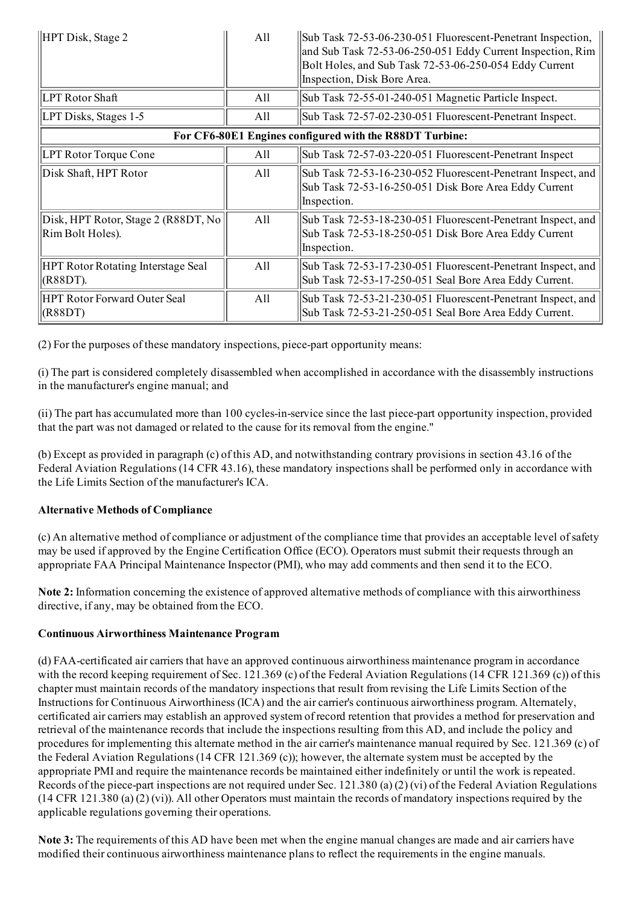| HPT Disk, Stage 2                                       | All | Sub Task 72-53-06-230-051 Fluorescent-Penetrant Inspection,<br>and Sub Task 72-53-06-250-051 Eddy Current Inspection, Rim<br>Bolt Holes, and Sub Task 72-53-06-250-054 Eddy Current<br>Inspection, Disk Bore Area. |  |  |
|---------------------------------------------------------|-----|--------------------------------------------------------------------------------------------------------------------------------------------------------------------------------------------------------------------|--|--|
| <b>LPT Rotor Shaft</b>                                  | All | Sub Task 72-55-01-240-051 Magnetic Particle Inspect.                                                                                                                                                               |  |  |
| LPT Disks, Stages 1-5                                   | All | Sub Task 72-57-02-230-051 Fluorescent-Penetrant Inspect.                                                                                                                                                           |  |  |
| For CF6-80E1 Engines configured with the R88DT Turbine: |     |                                                                                                                                                                                                                    |  |  |
| LPT Rotor Torque Cone                                   | All | Sub Task 72-57-03-220-051 Fluorescent-Penetrant Inspect                                                                                                                                                            |  |  |
| Disk Shaft, HPT Rotor                                   | All | Sub Task 72-53-16-230-052 Fluorescent-Penetrant Inspect, and<br>Sub Task 72-53-16-250-051 Disk Bore Area Eddy Current<br>Inspection.                                                                               |  |  |
| Disk, HPT Rotor, Stage 2 (R88DT, No<br>Rim Bolt Holes). | All | Sub Task 72-53-18-230-051 Fluorescent-Penetrant Inspect, and<br>Sub Task 72-53-18-250-051 Disk Bore Area Eddy Current<br>Inspection.                                                                               |  |  |
| <b>HPT Rotor Rotating Interstage Seal</b><br>(R88DT).   | All | Sub Task 72-53-17-230-051 Fluorescent-Penetrant Inspect, and<br>Sub Task 72-53-17-250-051 Seal Bore Area Eddy Current.                                                                                             |  |  |
| <b>HPT Rotor Forward Outer Seal</b><br>(R88DT)          | All | Sub Task 72-53-21-230-051 Fluorescent-Penetrant Inspect, and<br>Sub Task 72-53-21-250-051 Seal Bore Area Eddy Current.                                                                                             |  |  |

 $(2)$  For the purposes of these mandatory inspections, piece-part opportunity means:

(i) The part is considered completely disassembled when accomplished in accordance with the disassembly instructions in the manufacturer's engine manual; and

 $(i)$  The part has accumulated more than 100 cycles-in-service since the last piece-part opportunity inspection, provided that the part was not damaged or related to the cause for its removal from the engine."

(b) Except as provided in paragraph (c) of this AD, and notwithstanding contrary provisions in section 43.16 of the Federal Aviation Regulations (14 CFR 43.16), these mandatory inspections shall be performed only in accordance with the Life Limits Section of the manufacturer's ICA.

#### Alternative Methods of Compliance

(c) An alternative method of compliance or adjustment of the compliance time that provides an acceptable level ofsafety may be used if approved by the Engine Certification Office (ECO). Operators must submit their requests through an appropriate FAA Principal Maintenance Inspector (PMI), who may add comments and then send it to the ECO.

Note 2: Information concerning the existence of approved alternative methods of compliance with this airworthiness directive, if any, may be obtained from the ECO.

#### Continuous Airworthiness Maintenance Program

(d) FAAcertificated air carriers that have an approved continuous airworthiness maintenance program in accordance with the record keeping requirement of Sec. 121.369 (c) of the Federal Aviation Regulations (14 CFR 121.369 (c)) of this chapter must maintain records of the mandatory inspections that result from revising the Life Limits Section of the Instructions for Continuous Airworthiness (ICA) and the air carrier's continuous airworthiness program. Alternately, certificated air carriers may establish an approved system of record retention that provides a method for preservation and retrieval of the maintenance records that include the inspections resulting from this AD, and include the policy and procedures for implementing this alternate method in the air carrier's maintenance manual required by Sec. 121.369 (c) of the Federal Aviation Regulations (14 CFR 121.369 (c)); however, the alternate system must be accepted by the appropriate PMI and require the maintenance records be maintained either indefinitely or until the work is repeated. Records of the piece-part inspections are not required under Sec. 121.380 (a) (2) (vi) of the Federal Aviation Regulations  $(14 \text{ CFR } 121.380 \text{ (a) } (2) \text{ (vi)}).$  All other Operators must maintain the records of mandatory inspections required by the applicable regulations governing their operations.

Note 3: The requirements of this AD have been met when the engine manual changes are made and air carriers have modified their continuous airworthiness maintenance plans to reflect the requirements in the engine manuals.